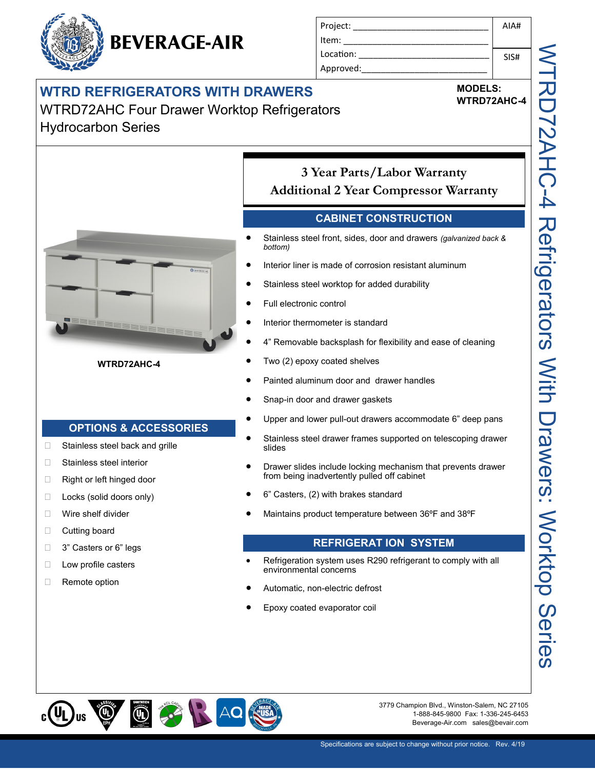|  | <b>BEVERAGE-AIR</b> |
|--|---------------------|
|--|---------------------|

Hydrocarbon Series

| Project:  | AIA# |
|-----------|------|
| Item:     |      |
| Location: | SIS# |
| Approved: |      |

# **WTRD REFRIGERATORS WITH DRAWERS** WTRD72AHC Four Drawer Worktop Refrigerators

### **MODELS: WTRD72AHC-4**



## **WTRD72AHC-4**

# **OPTIONS & ACCESSORIES**

- □ Stainless steel back and grille
- □ Stainless steel interior
- □ Right or left hinged door
- □ Locks (solid doors only)
- □ Wire shelf divider
- **Cutting board**
- □ 3" Casters or 6" legs
- **Low profile casters**
- □ Remote option

**3 Year Parts/Labor Warranty Additional 2 Year Compressor Warranty**

# **CABINET CONSTRUCTION**

- Stainless steel front, sides, door and drawers *(galvanized back & bottom)*
- Interior liner is made of corrosion resistant aluminum
- Stainless steel worktop for added durability
- Full electronic control
- Interior thermometer is standard
- 4" Removable backsplash for flexibility and ease of cleaning
- Two (2) epoxy coated shelves
- Painted aluminum door and drawer handles
- Snap-in door and drawer gaskets
- Upper and lower pull-out drawers accommodate 6" deep pans
- Stainless steel drawer frames supported on telescoping drawer slides
- Drawer slides include locking mechanism that prevents drawer from being inadvertently pulled off cabinet
- 6" Casters, (2) with brakes standard
- Maintains product temperature between 36ºF and 38ºF

# **REFRIGERAT ION SYSTEM**

- Refrigeration system uses R290 refrigerant to comply with all environmental concerns
- Automatic, non-electric defrost
- Epoxy coated evaporator coil



3779 Champion Blvd., Winston-Salem, NC 27105 1-888-845-9800 Fax: 1-336-245-6453 Beverage-Air.com sales@bevair.com